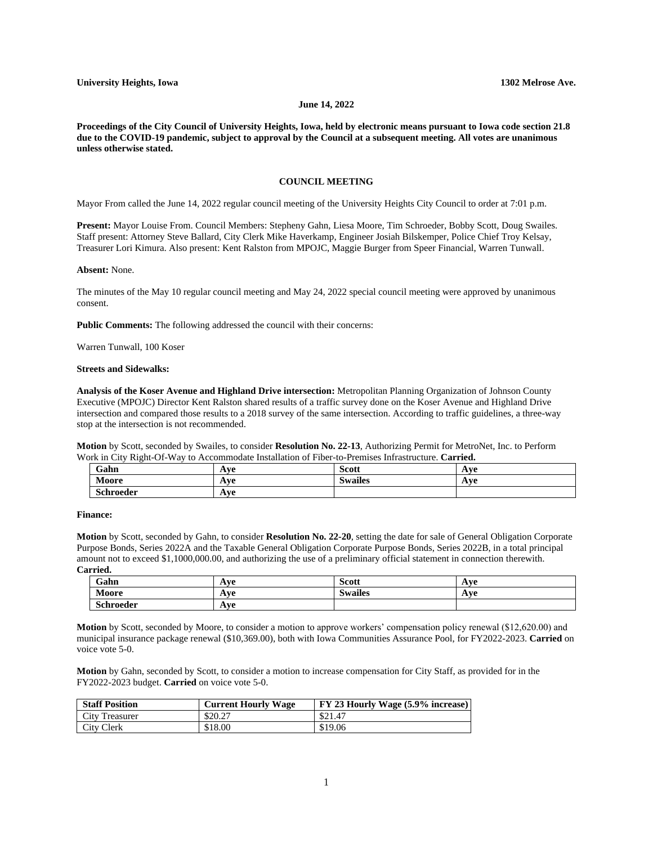### **June 14, 2022**

**Proceedings of the City Council of University Heights, Iowa, held by electronic means pursuant to Iowa code section 21.8 due to the COVID-19 pandemic, subject to approval by the Council at a subsequent meeting. All votes are unanimous unless otherwise stated.**

### **COUNCIL MEETING**

Mayor From called the June 14, 2022 regular council meeting of the University Heights City Council to order at 7:01 p.m.

**Present:** Mayor Louise From. Council Members: Stepheny Gahn, Liesa Moore, Tim Schroeder, Bobby Scott, Doug Swailes. Staff present: Attorney Steve Ballard, City Clerk Mike Haverkamp, Engineer Josiah Bilskemper, Police Chief Troy Kelsay, Treasurer Lori Kimura. Also present: Kent Ralston from MPOJC, Maggie Burger from Speer Financial, Warren Tunwall.

#### **Absent:** None.

The minutes of the May 10 regular council meeting and May 24, 2022 special council meeting were approved by unanimous consent.

**Public Comments:** The following addressed the council with their concerns:

Warren Tunwall, 100 Koser

# **Streets and Sidewalks:**

**Analysis of the Koser Avenue and Highland Drive intersection:** Metropolitan Planning Organization of Johnson County Executive (MPOJC) Director Kent Ralston shared results of a traffic survey done on the Koser Avenue and Highland Drive intersection and compared those results to a 2018 survey of the same intersection. According to traffic guidelines, a three-way stop at the intersection is not recommended.

**Motion** by Scott, seconded by Swailes, to consider **Resolution No. 22-13**, Authorizing Permit for MetroNet, Inc. to Perform Work in City Right-Of-Way to Accommodate Installation of Fiber-to-Premises Infrastructure. **Carried.**

| Gahn             | A va<br>$\sqrt{2}$   | $\sim$<br><b>Scott</b> | l τ7Ω<br><b>AVC</b> |
|------------------|----------------------|------------------------|---------------------|
| Moore            | A va<br>$\mathbf{A}$ | <b>Swailes</b>         | l ve<br>$A$ vc      |
| <b>Schroeder</b> | Ave                  |                        |                     |

# **Finance:**

**Motion** by Scott, seconded by Gahn, to consider **Resolution No. 22-20**, setting the date for sale of General Obligation Corporate Purpose Bonds, Series 2022A and the Taxable General Obligation Corporate Purpose Bonds, Series 2022B, in a total principal amount not to exceed \$1,1000,000.00, and authorizing the use of a preliminary official statement in connection therewith. **Carried.**

| Gahn             | Ave | <b>Scott</b>         | Ave |
|------------------|-----|----------------------|-----|
| Moore            | Ave | $\bullet$<br>Swalles | Ave |
| <b>Schroeder</b> | Ave |                      |     |

**Motion** by Scott, seconded by Moore, to consider a motion to approve workers' compensation policy renewal (\$12,620.00) and municipal insurance package renewal (\$10,369.00), both with Iowa Communities Assurance Pool, for FY2022-2023. **Carried** on voice vote 5-0.

**Motion** by Gahn, seconded by Scott, to consider a motion to increase compensation for City Staff, as provided for in the FY2022-2023 budget. **Carried** on voice vote 5-0.

| <b>Staff Position</b> | <b>Current Hourly Wage</b> | <b>FY 23 Hourly Wage (5.9% increase)</b> |
|-----------------------|----------------------------|------------------------------------------|
| <b>City Treasurer</b> | \$20.27                    | \$21.47                                  |
| City Clerk            | \$18.00                    | \$19.06                                  |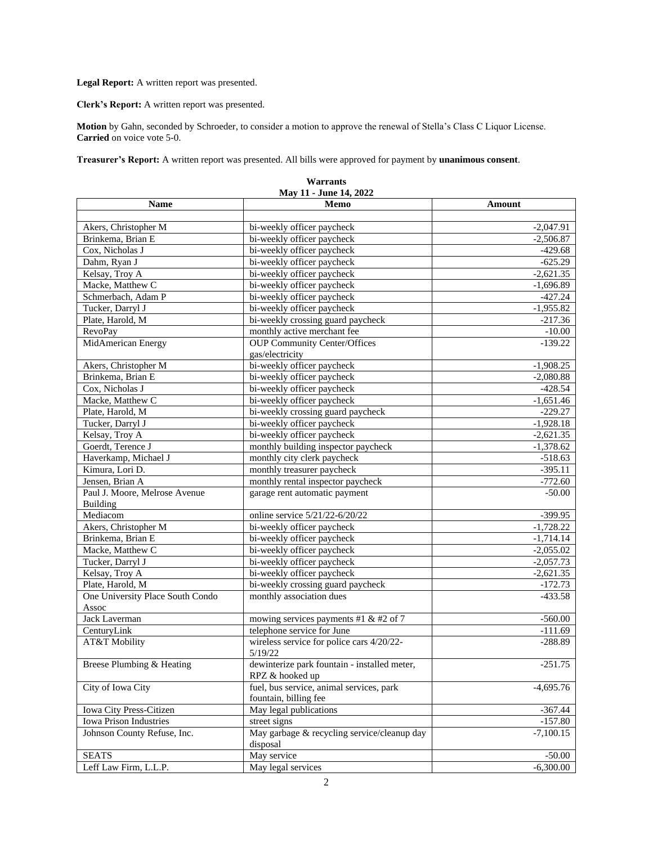**Legal Report:** A written report was presented.

**Clerk's Report:** A written report was presented.

**Motion** by Gahn, seconded by Schroeder, to consider a motion to approve the renewal of Stella's Class C Liquor License. **Carried** on voice vote 5-0.

**Treasurer's Report:** A written report was presented. All bills were approved for payment by **unanimous consent**.

| May 11 - June 14, 2022           |                                                                   |             |  |  |
|----------------------------------|-------------------------------------------------------------------|-------------|--|--|
| <b>Name</b>                      | Memo                                                              | Amount      |  |  |
|                                  |                                                                   |             |  |  |
| Akers, Christopher M             | bi-weekly officer paycheck                                        | $-2,047.91$ |  |  |
| Brinkema, Brian E                | bi-weekly officer paycheck                                        | $-2,506.87$ |  |  |
| Cox, Nicholas J                  | bi-weekly officer paycheck                                        | $-429.68$   |  |  |
| Dahm, Ryan J                     | bi-weekly officer paycheck                                        | $-625.29$   |  |  |
| Kelsay, Troy A                   | bi-weekly officer paycheck                                        | $-2,621.35$ |  |  |
| Macke, Matthew C                 | bi-weekly officer paycheck                                        | $-1,696.89$ |  |  |
| Schmerbach, Adam P               | bi-weekly officer paycheck                                        | $-427.24$   |  |  |
| Tucker, Darryl J                 | bi-weekly officer paycheck                                        | $-1,955.82$ |  |  |
| Plate, Harold, M                 | bi-weekly crossing guard paycheck                                 | $-217.36$   |  |  |
| <b>RevoPay</b>                   | monthly active merchant fee                                       | $-10.00$    |  |  |
| MidAmerican Energy               | <b>OUP Community Center/Offices</b>                               | $-139.22$   |  |  |
|                                  | gas/electricity                                                   |             |  |  |
| Akers, Christopher M             | bi-weekly officer paycheck                                        | $-1,908.25$ |  |  |
| Brinkema, Brian E                | bi-weekly officer paycheck                                        | $-2,080.88$ |  |  |
| Cox, Nicholas J                  | bi-weekly officer paycheck                                        | $-428.54$   |  |  |
| Macke, Matthew C                 | bi-weekly officer paycheck                                        | $-1,651.46$ |  |  |
| Plate, Harold, M                 | bi-weekly crossing guard paycheck                                 | $-229.27$   |  |  |
| Tucker, Darryl J                 | bi-weekly officer paycheck                                        | $-1,928.18$ |  |  |
| Kelsay, Troy A                   | bi-weekly officer paycheck                                        | $-2,621.35$ |  |  |
| Goerdt, Terence J                | monthly building inspector paycheck                               | $-1,378.62$ |  |  |
| Haverkamp, Michael J             | monthly city clerk paycheck                                       | $-518.63$   |  |  |
| Kimura, Lori D.                  | monthly treasurer paycheck                                        | $-395.11$   |  |  |
| Jensen, Brian A                  | monthly rental inspector paycheck                                 | $-772.60$   |  |  |
| Paul J. Moore, Melrose Avenue    | garage rent automatic payment                                     | $-50.00$    |  |  |
| Building                         |                                                                   |             |  |  |
| Mediacom                         | online service 5/21/22-6/20/22                                    | $-399.95$   |  |  |
| Akers, Christopher M             | bi-weekly officer paycheck                                        | $-1,728.22$ |  |  |
| Brinkema, Brian E                | bi-weekly officer paycheck                                        | $-1,714.14$ |  |  |
| Macke, Matthew C                 | bi-weekly officer paycheck                                        | $-2,055.02$ |  |  |
| Tucker, Darryl J                 | bi-weekly officer paycheck                                        | $-2,057.73$ |  |  |
| Kelsay, Troy A                   | bi-weekly officer paycheck                                        | $-2,621.35$ |  |  |
| Plate, Harold, M                 | bi-weekly crossing guard paycheck                                 | $-172.73$   |  |  |
| One University Place South Condo | monthly association dues                                          | $-433.58$   |  |  |
| Assoc                            |                                                                   |             |  |  |
| Jack Laverman                    | mowing services payments #1 & #2 of 7                             | $-560.00$   |  |  |
| CenturyLink                      | telephone service for June                                        | $-111.69$   |  |  |
| AT&T Mobility                    | wireless service for police cars 4/20/22-<br>5/19/22              | $-288.89$   |  |  |
| Breese Plumbing & Heating        | dewinterize park fountain - installed meter,<br>RPZ & hooked up   | $-251.75$   |  |  |
| City of Iowa City                | fuel, bus service, animal services, park<br>fountain, billing fee | $-4,695.76$ |  |  |
| Iowa City Press-Citizen          | May legal publications                                            | $-367.44$   |  |  |
| <b>Iowa Prison Industries</b>    | street signs                                                      | $-157.80$   |  |  |
| Johnson County Refuse, Inc.      | May garbage & recycling service/cleanup day<br>disposal           | $-7,100.15$ |  |  |
|                                  |                                                                   |             |  |  |
| <b>SEATS</b>                     | May service                                                       | $-50.00$    |  |  |
| Leff Law Firm, L.L.P.            | May legal services                                                | $-6,300.00$ |  |  |

| Warrants             |  |  |  |  |  |
|----------------------|--|--|--|--|--|
| May 11 - June 14–202 |  |  |  |  |  |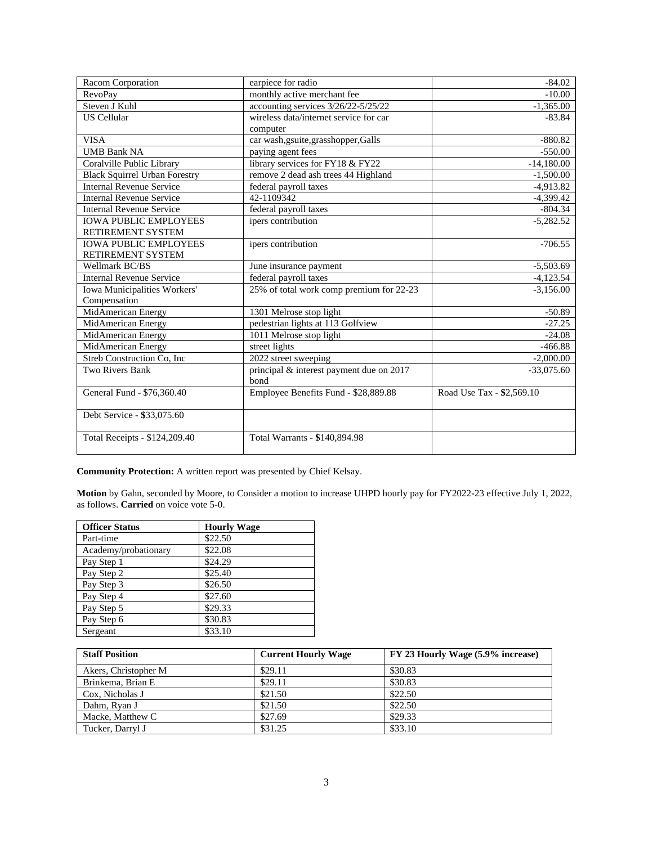| Racom Corporation                    | earpiece for radio                       | $-84.02$                  |
|--------------------------------------|------------------------------------------|---------------------------|
| <b>RevoPay</b>                       | monthly active merchant fee              | $-10.00$                  |
| Steven J Kuhl                        | accounting services 3/26/22-5/25/22      | $-1,365.00$               |
| <b>US</b> Cellular                   | wireless data/internet service for car   | $-83.84$                  |
|                                      | computer                                 |                           |
| <b>VISA</b>                          | car wash,gsuite,grasshopper,Galls        | $-880.82$                 |
| <b>UMB Bank NA</b>                   | paying agent fees                        | $-550.00$                 |
| Coralville Public Library            | library services for FY18 & FY22         | $-14,180.00$              |
| <b>Black Squirrel Urban Forestry</b> | remove 2 dead ash trees 44 Highland      | $-1,500.00$               |
| <b>Internal Revenue Service</b>      | federal payroll taxes                    | $-4.913.82$               |
| <b>Internal Revenue Service</b>      | 42-1109342                               | $-4,399.42$               |
| <b>Internal Revenue Service</b>      | federal payroll taxes                    | $-804.34$                 |
| <b>IOWA PUBLIC EMPLOYEES</b>         | ipers contribution                       | $-5,282.52$               |
| RETIREMENT SYSTEM                    |                                          |                           |
| <b>IOWA PUBLIC EMPLOYEES</b>         | ipers contribution                       | $-706.55$                 |
| RETIREMENT SYSTEM                    |                                          |                           |
| Wellmark BC/BS                       | June insurance payment                   | $-5,503.69$               |
| <b>Internal Revenue Service</b>      | federal payroll taxes                    | $-4,123.54$               |
| Iowa Municipalities Workers'         | 25% of total work comp premium for 22-23 | $-3,156.00$               |
| Compensation                         |                                          |                           |
| MidAmerican Energy                   | 1301 Melrose stop light                  | $-50.89$                  |
| MidAmerican Energy                   | pedestrian lights at 113 Golfview        | $-27.25$                  |
| MidAmerican Energy                   | 1011 Melrose stop light                  | $-24.08$                  |
| MidAmerican Energy                   | street lights                            | $-466.88$                 |
| Streb Construction Co. Inc.          | 2022 street sweeping                     | $-2,000.00$               |
| Two Rivers Bank                      | principal & interest payment due on 2017 | $-33,075.\overline{60}$   |
|                                      | bond                                     |                           |
| General Fund - \$76,360.40           | Employee Benefits Fund - \$28,889.88     | Road Use Tax - \$2,569.10 |
|                                      |                                          |                           |
| Debt Service - \$33,075.60           |                                          |                           |
|                                      |                                          |                           |
| Total Receipts - \$124,209.40        | Total Warrants - \$140,894.98            |                           |
|                                      |                                          |                           |

**Community Protection:** A written report was presented by Chief Kelsay.

**Motion** by Gahn, seconded by Moore, to Consider a motion to increase UHPD hourly pay for FY2022-23 effective July 1, 2022, as follows. **Carried** on voice vote 5-0.

| <b>Officer Status</b> | <b>Hourly Wage</b> |
|-----------------------|--------------------|
| Part-time             | \$22.50            |
| Academy/probationary  | \$22.08            |
| Pay Step 1            | \$24.29            |
| Pay Step 2            | \$25.40            |
| Pay Step 3            | \$26.50            |
| Pay Step 4            | \$27.60            |
| Pay Step 5            | \$29.33            |
| Pay Step 6            | \$30.83            |
| Sergeant              | \$33.10            |

| <b>Staff Position</b> | <b>Current Hourly Wage</b> | FY 23 Hourly Wage (5.9% increase) |
|-----------------------|----------------------------|-----------------------------------|
| Akers, Christopher M  | \$29.11                    | \$30.83                           |
| Brinkema, Brian E     | \$29.11                    | \$30.83                           |
| Cox. Nicholas J       | \$21.50                    | \$22.50                           |
| Dahm, Ryan J          | \$21.50                    | \$22.50                           |
| Macke, Matthew C      | \$27.69                    | \$29.33                           |
| Tucker, Darryl J      | \$31.25                    | \$33.10                           |